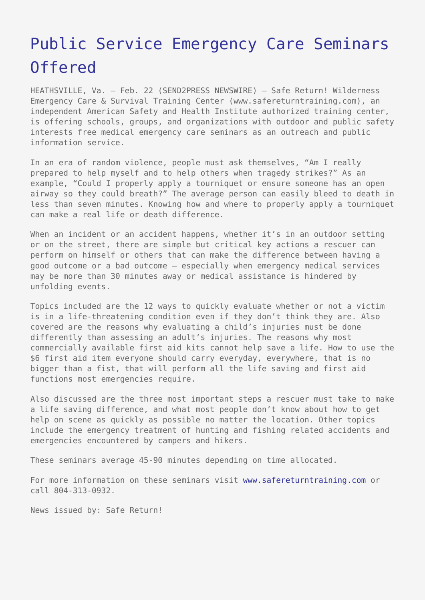## [Public Service Emergency Care Seminars](https://www.send2press.com/wire/2008-02-0222-002/) [Offered](https://www.send2press.com/wire/2008-02-0222-002/)

HEATHSVILLE, Va. – Feb. 22 (SEND2PRESS NEWSWIRE) — Safe Return! Wilderness Emergency Care & Survival Training Center (www.safereturntraining.com), an independent American Safety and Health Institute authorized training center, is offering schools, groups, and organizations with outdoor and public safety interests free medical emergency care seminars as an outreach and public information service.

In an era of random violence, people must ask themselves, "Am I really prepared to help myself and to help others when tragedy strikes?" As an example, "Could I properly apply a tourniquet or ensure someone has an open airway so they could breath?" The average person can easily bleed to death in less than seven minutes. Knowing how and where to properly apply a tourniquet can make a real life or death difference.

When an incident or an accident happens, whether it's in an outdoor setting or on the street, there are simple but critical key actions a rescuer can perform on himself or others that can make the difference between having a good outcome or a bad outcome – especially when emergency medical services may be more than 30 minutes away or medical assistance is hindered by unfolding events.

Topics included are the 12 ways to quickly evaluate whether or not a victim is in a life-threatening condition even if they don't think they are. Also covered are the reasons why evaluating a child's injuries must be done differently than assessing an adult's injuries. The reasons why most commercially available first aid kits cannot help save a life. How to use the \$6 first aid item everyone should carry everyday, everywhere, that is no bigger than a fist, that will perform all the life saving and first aid functions most emergencies require.

Also discussed are the three most important steps a rescuer must take to make a life saving difference, and what most people don't know about how to get help on scene as quickly as possible no matter the location. Other topics include the emergency treatment of hunting and fishing related accidents and emergencies encountered by campers and hikers.

These seminars average 45-90 minutes depending on time allocated.

For more information on these seminars visit [www.safereturntraining.com](http://www.safereturntraining.com) or call 804-313-0932.

News issued by: Safe Return!